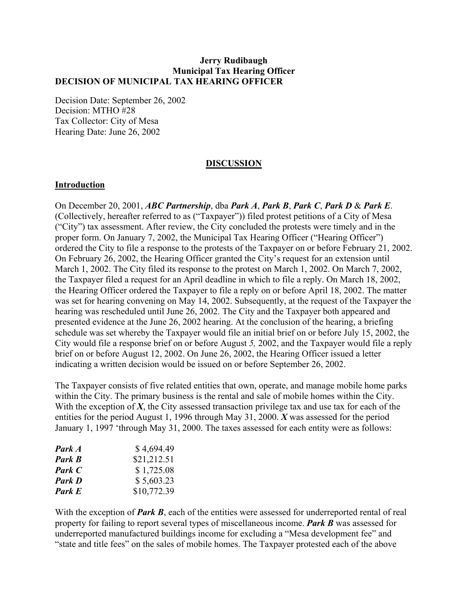## **Jerry Rudibaugh Municipal Tax Hearing Officer DECISION OF MUNICIPAL TAX HEARING OFFICER**

Decision Date: September 26, 2002 Decision: MTHO #28 Tax Collector: City of Mesa Hearing Date: June 26, 2002

### **DISCUSSION**

### **Introduction**

On December 20, 2001, *ABC Partnership*, dba *Park A*, *Park B*, *Park C*, *Park D* & *Park E*. (Collectively, hereafter referred to as ("Taxpayer")) filed protest petitions of a City of Mesa ("City") tax assessment. After review, the City concluded the protests were timely and in the proper form. On January 7, 2002, the Municipal Tax Hearing Officer ("Hearing Officer") ordered the City to file a response to the protests of the Taxpayer on or before February 21, 2002. On February 26, 2002, the Hearing Officer granted the City's request for an extension until March 1, 2002. The City filed its response to the protest on March 1, 2002. On March 7, 2002, the Taxpayer filed a request for an April deadline in which to file a reply. On March 18, 2002, the Hearing Officer ordered the Taxpayer to file a reply on or before April 18, 2002. The matter was set for hearing convening on May 14, 2002. Subsequently, at the request of the Taxpayer the hearing was rescheduled until June 26, 2002. The City and the Taxpayer both appeared and presented evidence at the June 26, 2002 hearing. At the conclusion of the hearing, a briefing schedule was set whereby the Taxpayer would file an initial brief on or before July 15, 2002, the City would file a response brief on or before August *5,* 2002, and the Taxpayer would file a reply brief on or before August 12, 2002. On June 26, 2002, the Hearing Officer issued a letter indicating a written decision would be issued on or before September 26, 2002.

The Taxpayer consists of five related entities that own, operate, and manage mobile home parks within the City. The primary business is the rental and sale of mobile homes within the City. With the exception of *X*, the City assessed transaction privilege tax and use tax for each of the entities for the period August 1, 1996 through May 31, 2000. *X* was assessed for the period January 1, 1997 'through May 31, 2000. The taxes assessed for each entity were as follows:

| \$4,694.49  |
|-------------|
| \$21,212.51 |
| \$1,725.08  |
| \$5,603.23  |
| \$10,772.39 |
|             |

With the exception of **Park B**, each of the entities were assessed for underreported rental of real property for failing to report several types of miscellaneous income. *Park B* was assessed for underreported manufactured buildings income for excluding a "Mesa development fee" and "state and title fees" on the sales of mobile homes. The Taxpayer protested each of the above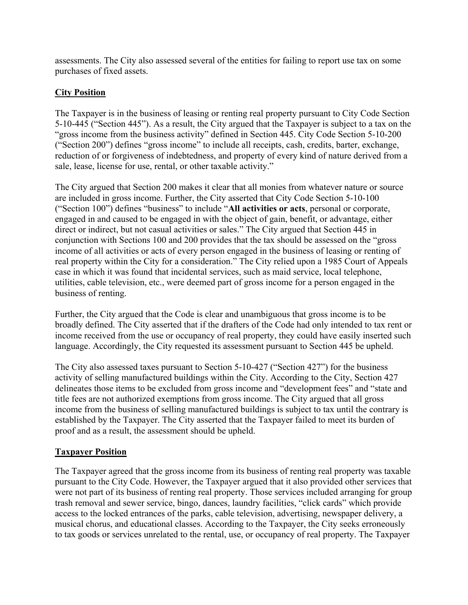assessments. The City also assessed several of the entities for failing to report use tax on some purchases of fixed assets.

## **City Position**

The Taxpayer is in the business of leasing or renting real property pursuant to City Code Section 5-10-445 ("Section 445"). As a result, the City argued that the Taxpayer is subject to a tax on the "gross income from the business activity" defined in Section 445. City Code Section 5-10-200 ("Section 200") defines "gross income" to include all receipts, cash, credits, barter, exchange, reduction of or forgiveness of indebtedness, and property of every kind of nature derived from a sale, lease, license for use, rental, or other taxable activity."

The City argued that Section 200 makes it clear that all monies from whatever nature or source are included in gross income. Further, the City asserted that City Code Section 5-10-100 ("Section 100") defines "business" to include "**All activities or acts**, personal or corporate, engaged in and caused to be engaged in with the object of gain, benefit, or advantage, either direct or indirect, but not casual activities or sales." The City argued that Section 445 in conjunction with Sections 100 and 200 provides that the tax should be assessed on the "gross income of all activities or acts of every person engaged in the business of leasing or renting of real property within the City for a consideration." The City relied upon a 1985 Court of Appeals case in which it was found that incidental services, such as maid service, local telephone, utilities, cable television, etc., were deemed part of gross income for a person engaged in the business of renting.

Further, the City argued that the Code is clear and unambiguous that gross income is to be broadly defined. The City asserted that if the drafters of the Code had only intended to tax rent or income received from the use or occupancy of real property, they could have easily inserted such language. Accordingly, the City requested its assessment pursuant to Section 445 be upheld.

The City also assessed taxes pursuant to Section 5-10-427 ("Section 427") for the business activity of selling manufactured buildings within the City. According to the City, Section 427 delineates those items to be excluded from gross income and "development fees" and "state and title fees are not authorized exemptions from gross income. The City argued that all gross income from the business of selling manufactured buildings is subject to tax until the contrary is established by the Taxpayer. The City asserted that the Taxpayer failed to meet its burden of proof and as a result, the assessment should be upheld.

# **Taxpayer Position**

The Taxpayer agreed that the gross income from its business of renting real property was taxable pursuant to the City Code. However, the Taxpayer argued that it also provided other services that were not part of its business of renting real property. Those services included arranging for group trash removal and sewer service, bingo, dances, laundry facilities, "click cards" which provide access to the locked entrances of the parks, cable television, advertising, newspaper delivery, a musical chorus, and educational classes. According to the Taxpayer, the City seeks erroneously to tax goods or services unrelated to the rental, use, or occupancy of real property. The Taxpayer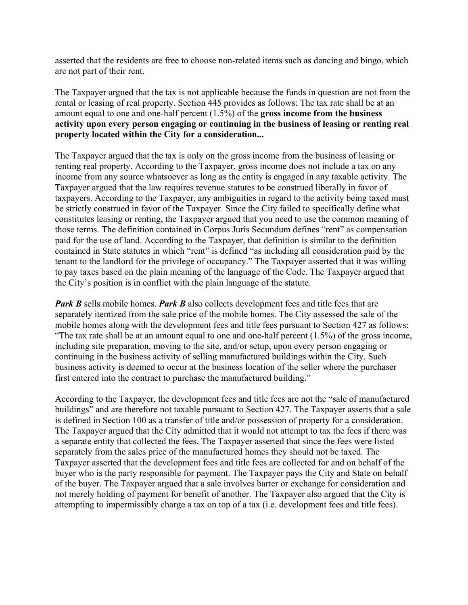asserted that the residents are free to choose non-related items such as dancing and bingo, which are not part of their rent.

The Taxpayer argued that the tax is not applicable because the funds in question are not from the rental or leasing of real property. Section 445 provides as follows: The tax rate shall be at an amount equal to one and one-half percent (1.5%) of the **gross income from the business activity upon every person engaging or continuing in the business of leasing or renting real property located within the City for a consideration...** 

The Taxpayer argued that the tax is only on the gross income from the business of leasing or renting real property. According to the Taxpayer, gross income does not include a tax on any income from any source whatsoever as long as the entity is engaged in any taxable activity. The Taxpayer argued that the law requires revenue statutes to be construed liberally in favor of taxpayers. According to the Taxpayer, any ambiguities in regard to the activity being taxed must be strictly construed in favor of the Taxpayer. Since the City failed to specifically define what constitutes leasing or renting, the Taxpayer argued that you need to use the common meaning of those terms. The definition contained in Corpus Juris Secundum defines "rent" as compensation paid for the use of land. According to the Taxpayer, that definition is similar to the definition contained in State statutes in which "rent" is defined "as including all consideration paid by the tenant to the landlord for the privilege of occupancy." The Taxpayer asserted that it was willing to pay taxes based on the plain meaning of the language of the Code. The Taxpayer argued that the City's position is in conflict with the plain language of the statute.

*Park B* sells mobile homes. *Park B* also collects development fees and title fees that are separately itemized from the sale price of the mobile homes. The City assessed the sale of the mobile homes along with the development fees and title fees pursuant to Section 427 as follows: "The tax rate shall be at an amount equal to one and one-half percent (1.5%) of the gross income, including site preparation, moving to the site, and/or setup, upon every person engaging or continuing in the business activity of selling manufactured buildings within the City. Such business activity is deemed to occur at the business location of the seller where the purchaser first entered into the contract to purchase the manufactured building."

According to the Taxpayer, the development fees and title fees are not the "sale of manufactured buildings" and are therefore not taxable pursuant to Section 427. The Taxpayer asserts that a sale is defined in Section 100 as a transfer of title and/or possession of property for a consideration. The Taxpayer argued that the City admitted that it would not attempt to tax the fees if there was a separate entity that collected the fees. The Taxpayer asserted that since the fees were listed separately from the sales price of the manufactured homes they should not be taxed. The Taxpayer asserted that the development fees and title fees are collected for and on behalf of the buyer who is the party responsible for payment. The Taxpayer pays the City and State on behalf of the buyer. The Taxpayer argued that a sale involves barter or exchange for consideration and not merely holding of payment for benefit of another. The Taxpayer also argued that the City is attempting to impermissibly charge a tax on top of a tax (i.e. development fees and title fees).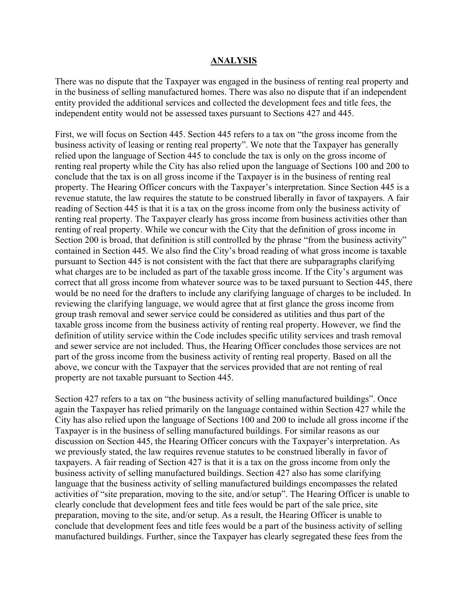#### **ANALYSIS**

There was no dispute that the Taxpayer was engaged in the business of renting real property and in the business of selling manufactured homes. There was also no dispute that if an independent entity provided the additional services and collected the development fees and title fees, the independent entity would not be assessed taxes pursuant to Sections 427 and 445.

First, we will focus on Section 445. Section 445 refers to a tax on "the gross income from the business activity of leasing or renting real property". We note that the Taxpayer has generally relied upon the language of Section 445 to conclude the tax is only on the gross income of renting real property while the City has also relied upon the language of Sections 100 and 200 to conclude that the tax is on all gross income if the Taxpayer is in the business of renting real property. The Hearing Officer concurs with the Taxpayer's interpretation. Since Section 445 is a revenue statute, the law requires the statute to be construed liberally in favor of taxpayers. A fair reading of Section 445 is that it is a tax on the gross income from only the business activity of renting real property. The Taxpayer clearly has gross income from business activities other than renting of real property. While we concur with the City that the definition of gross income in Section 200 is broad, that definition is still controlled by the phrase "from the business activity" contained in Section 445. We also find the City's broad reading of what gross income is taxable pursuant to Section 445 is not consistent with the fact that there are subparagraphs clarifying what charges are to be included as part of the taxable gross income. If the City's argument was correct that all gross income from whatever source was to be taxed pursuant to Section 445, there would be no need for the drafters to include any clarifying language of charges to be included. In reviewing the clarifying language, we would agree that at first glance the gross income from group trash removal and sewer service could be considered as utilities and thus part of the taxable gross income from the business activity of renting real property. However, we find the definition of utility service within the Code includes specific utility services and trash removal and sewer service are not included. Thus, the Hearing Officer concludes those services are not part of the gross income from the business activity of renting real property. Based on all the above, we concur with the Taxpayer that the services provided that are not renting of real property are not taxable pursuant to Section 445.

Section 427 refers to a tax on "the business activity of selling manufactured buildings". Once again the Taxpayer has relied primarily on the language contained within Section 427 while the City has also relied upon the language of Sections 100 and 200 to include all gross income if the Taxpayer is in the business of selling manufactured buildings. For similar reasons as our discussion on Section 445, the Hearing Officer concurs with the Taxpayer's interpretation. As we previously stated, the law requires revenue statutes to be construed liberally in favor of taxpayers. A fair reading of Section 427 is that it is a tax on the gross income from only the business activity of selling manufactured buildings. Section 427 also has some clarifying language that the business activity of selling manufactured buildings encompasses the related activities of "site preparation, moving to the site, and/or setup". The Hearing Officer is unable to clearly conclude that development fees and title fees would be part of the sale price, site preparation, moving to the site, and/or setup. As a result, the Hearing Officer is unable to conclude that development fees and title fees would be a part of the business activity of selling manufactured buildings. Further, since the Taxpayer has clearly segregated these fees from the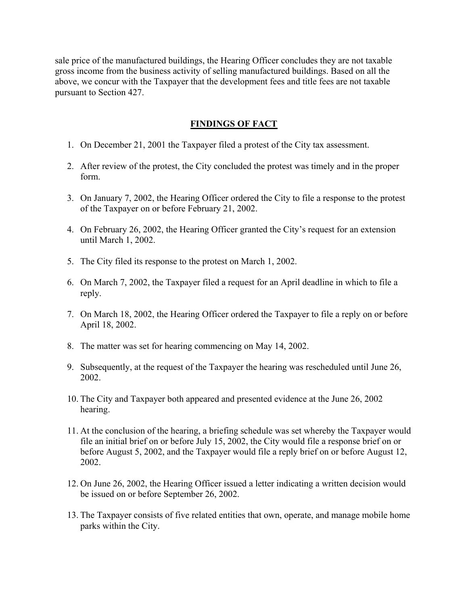sale price of the manufactured buildings, the Hearing Officer concludes they are not taxable gross income from the business activity of selling manufactured buildings. Based on all the above, we concur with the Taxpayer that the development fees and title fees are not taxable pursuant to Section 427.

## **FINDINGS OF FACT**

- 1. On December 21, 2001 the Taxpayer filed a protest of the City tax assessment.
- 2. After review of the protest, the City concluded the protest was timely and in the proper form.
- 3. On January 7, 2002, the Hearing Officer ordered the City to file a response to the protest of the Taxpayer on or before February 21, 2002.
- 4. On February 26, 2002, the Hearing Officer granted the City's request for an extension until March 1, 2002.
- 5. The City filed its response to the protest on March 1, 2002.
- 6. On March 7, 2002, the Taxpayer filed a request for an April deadline in which to file a reply.
- 7. On March 18, 2002, the Hearing Officer ordered the Taxpayer to file a reply on or before April 18, 2002.
- 8. The matter was set for hearing commencing on May 14, 2002.
- 9. Subsequently, at the request of the Taxpayer the hearing was rescheduled until June 26, 2002.
- 10. The City and Taxpayer both appeared and presented evidence at the June 26, 2002 hearing.
- 11. At the conclusion of the hearing, a briefing schedule was set whereby the Taxpayer would file an initial brief on or before July 15, 2002, the City would file a response brief on or before August 5, 2002, and the Taxpayer would file a reply brief on or before August 12, 2002.
- 12. On June 26, 2002, the Hearing Officer issued a letter indicating a written decision would be issued on or before September 26, 2002.
- 13. The Taxpayer consists of five related entities that own, operate, and manage mobile home parks within the City.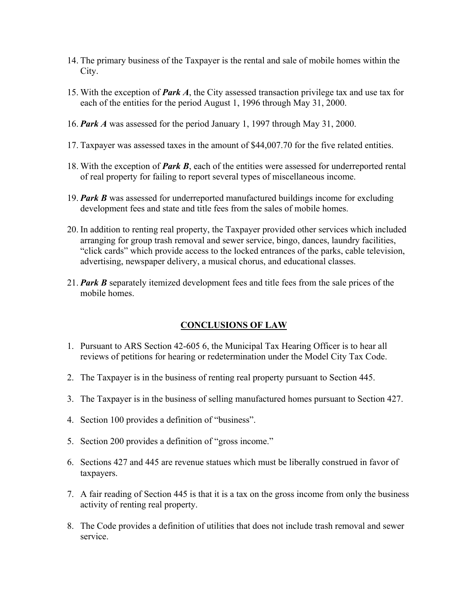- 14. The primary business of the Taxpayer is the rental and sale of mobile homes within the City.
- 15. With the exception of *Park A*, the City assessed transaction privilege tax and use tax for each of the entities for the period August 1, 1996 through May 31, 2000.
- 16. *Park A* was assessed for the period January 1, 1997 through May 31, 2000.
- 17. Taxpayer was assessed taxes in the amount of \$44,007.70 for the five related entities.
- 18. With the exception of *Park B*, each of the entities were assessed for underreported rental of real property for failing to report several types of miscellaneous income.
- 19. *Park B* was assessed for underreported manufactured buildings income for excluding development fees and state and title fees from the sales of mobile homes.
- 20. In addition to renting real property, the Taxpayer provided other services which included arranging for group trash removal and sewer service, bingo, dances, laundry facilities, "click cards" which provide access to the locked entrances of the parks, cable television, advertising, newspaper delivery, a musical chorus, and educational classes.
- 21. *Park B* separately itemized development fees and title fees from the sale prices of the mobile homes.

## **CONCLUSIONS OF LAW**

- 1. Pursuant to ARS Section 42-605 6, the Municipal Tax Hearing Officer is to hear all reviews of petitions for hearing or redetermination under the Model City Tax Code.
- 2. The Taxpayer is in the business of renting real property pursuant to Section 445.
- 3. The Taxpayer is in the business of selling manufactured homes pursuant to Section 427.
- 4. Section 100 provides a definition of "business".
- 5. Section 200 provides a definition of "gross income."
- 6. Sections 427 and 445 are revenue statues which must be liberally construed in favor of taxpayers.
- 7. A fair reading of Section 445 is that it is a tax on the gross income from only the business activity of renting real property.
- 8. The Code provides a definition of utilities that does not include trash removal and sewer service.